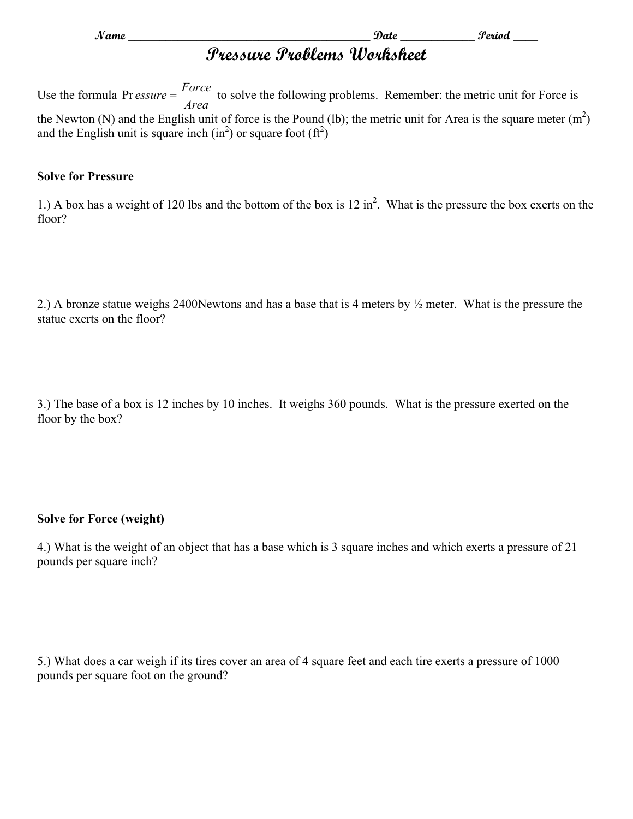**Name \_\_\_\_\_\_\_\_\_\_\_\_\_\_\_\_\_\_\_\_\_\_\_\_\_\_\_\_\_\_\_\_\_\_\_\_\_\_\_ Date \_\_\_\_\_\_\_\_\_\_\_\_ Period \_\_\_\_** 

# **Pressure Problems Worksheet**

Use the formula *Area Pr essure* =  $\frac{Force}{T}$  to solve the following problems. Remember: the metric unit for Force is the Newton (N) and the English unit of force is the Pound (lb); the metric unit for Area is the square meter  $(m<sup>2</sup>)$ and the English unit is square inch  $(in^2)$  or square foot  $(tf^2)$ 

#### **Solve for Pressure**

1.) A box has a weight of 120 lbs and the bottom of the box is  $12 \text{ in}^2$ . What is the pressure the box exerts on the floor?

2.) A bronze statue weighs 2400Newtons and has a base that is 4 meters by ½ meter. What is the pressure the statue exerts on the floor?

3.) The base of a box is 12 inches by 10 inches. It weighs 360 pounds. What is the pressure exerted on the floor by the box?

## **Solve for Force (weight)**

4.) What is the weight of an object that has a base which is 3 square inches and which exerts a pressure of 21 pounds per square inch?

5.) What does a car weigh if its tires cover an area of 4 square feet and each tire exerts a pressure of 1000 pounds per square foot on the ground?